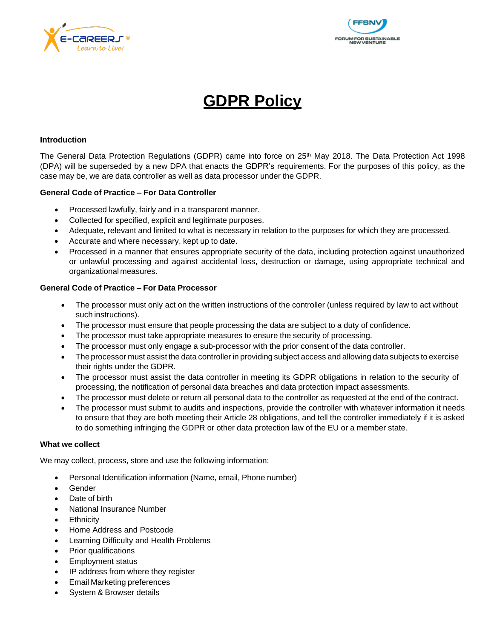



# **GDPR Policy**

### **Introduction**

The General Data Protection Regulations (GDPR) came into force on 25<sup>th</sup> May 2018. The Data Protection Act 1998 (DPA) will be superseded by a new DPA that enacts the GDPR's requirements. For the purposes of this policy, as the case may be, we are data controller as well as data processor under the GDPR.

#### **General Code of Practice – For Data Controller**

- Processed lawfully, fairly and in a transparent manner.
- Collected for specified, explicit and legitimate purposes.
- Adequate, relevant and limited to what is necessary in relation to the purposes for which they are processed.
- Accurate and where necessary, kept up to date.
- Processed in a manner that ensures appropriate security of the data, including protection against unauthorized or unlawful processing and against accidental loss, destruction or damage, using appropriate technical and organizational measures.

## **General Code of Practice – For Data Processor**

- The processor must only act on the written instructions of the controller (unless required by law to act without such instructions).
- The processor must ensure that people processing the data are subject to a duty of confidence.
- The processor must take appropriate measures to ensure the security of processing.
- The processor must only engage a sub-processor with the prior consent of the data controller.
- The processor must assist the data controller in providing subject access and allowing data subjects to exercise their rights under the GDPR.
- The processor must assist the data controller in meeting its GDPR obligations in relation to the security of processing, the notification of personal data breaches and data protection impact assessments.
- The processor must delete or return all personal data to the controller as requested at the end of the contract.
- The processor must submit to audits and inspections, provide the controller with whatever information it needs to ensure that they are both meeting their Article 28 obligations, and tell the controller immediately if it is asked to do something infringing the GDPR or other data protection law of the EU or a member state.

#### **What we collect**

We may collect, process, store and use the following information:

- Personal Identification information (Name, email, Phone number)
- Gender
- Date of birth
- National Insurance Number
- **Ethnicity**
- Home Address and Postcode
- Learning Difficulty and Health Problems
- Prior qualifications
- Employment status
- IP address from where they register
- Email Marketing preferences
- System & Browser details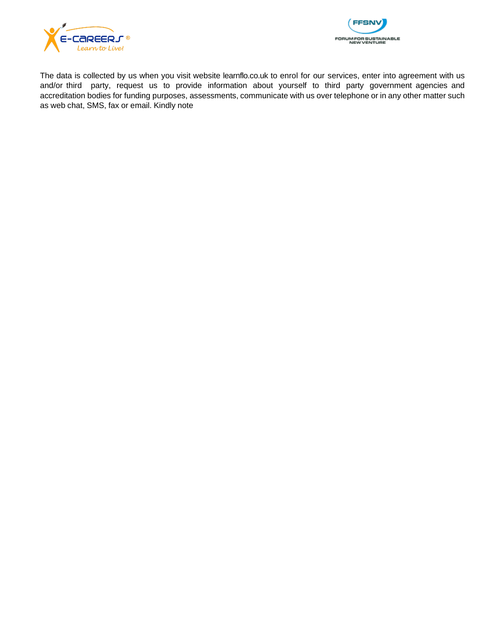



The data is collected by us when you visit website learnflo.co.uk to enrol for our services, enter into agreement with us and/or third party, request us to provide information about yourself to third party government agencies and accreditation bodies for funding purposes, assessments, communicate with us over telephone or in any other matter such as web chat, SMS, fax or email. Kindly note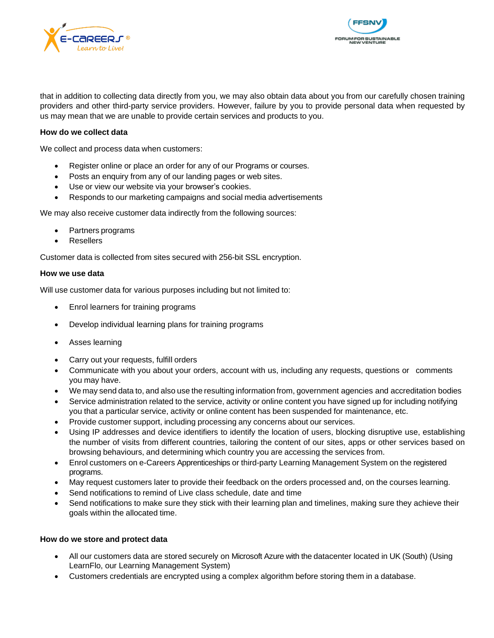



that in addition to collecting data directly from you, we may also obtain data about you from our carefully chosen training providers and other third-party service providers. However, failure by you to provide personal data when requested by us may mean that we are unable to provide certain services and products to you.

### **How do we collect data**

We collect and process data when customers:

- Register online or place an order for any of our Programs or courses.
- Posts an enquiry from any of our landing pages or web sites.
- Use or view our website via your browser's cookies.
- Responds to our marketing campaigns and social media advertisements

We may also receive customer data indirectly from the following sources:

- Partners programs
- **Resellers**

Customer data is collected from sites secured with 256-bit SSL encryption.

#### **How we use data**

Will use customer data for various purposes including but not limited to:

- Enrol learners for training programs
- Develop individual learning plans for training programs
- Asses learning
- Carry out your requests, fulfill orders
- Communicate with you about your orders, account with us, including any requests, questions or comments you may have.
- We may send data to, and also use the resulting information from, government agencies and accreditation bodies
- Service administration related to the service, activity or online content you have signed up for including notifying you that a particular service, activity or online content has been suspended for maintenance, etc.
- Provide customer support, including processing any concerns about our services.
- Using IP addresses and device identifiers to identify the location of users, blocking disruptive use, establishing the number of visits from different countries, tailoring the content of our sites, apps or other services based on browsing behaviours, and determining which country you are accessing the services from.
- Enrol customers on e-Careers Apprenticeships or third-party Learning Management System on the registered programs.
- May request customers later to provide their feedback on the orders processed and, on the courses learning.
- Send notifications to remind of Live class schedule, date and time
- Send notifications to make sure they stick with their learning plan and timelines, making sure they achieve their goals within the allocated time.

#### **How do we store and protect data**

- All our customers data are stored securely on Microsoft Azure with the datacenter located in UK (South) (Using LearnFlo, our Learning Management System)
- Customers credentials are encrypted using a complex algorithm before storing them in a database.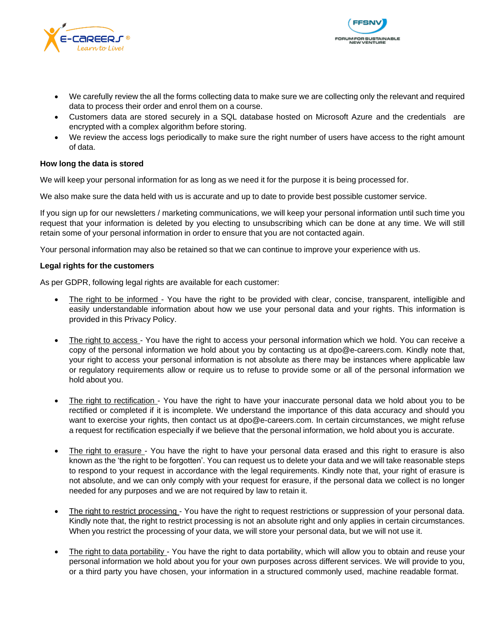



- We carefully review the all the forms collecting data to make sure we are collecting only the relevant and required data to process their order and enrol them on a course.
- Customers data are stored securely in a SQL database hosted on Microsoft Azure and the credentials are encrypted with a complex algorithm before storing.
- We review the access logs periodically to make sure the right number of users have access to the right amount of data.

### **How long the data is stored**

We will keep your personal information for as long as we need it for the purpose it is being processed for.

We also make sure the data held with us is accurate and up to date to provide best possible customer service.

If you sign up for our newsletters / marketing communications, we will keep your personal information until such time you request that your information is deleted by you electing to unsubscribing which can be done at any time. We will still retain some of your personal information in order to ensure that you are not contacted again.

Your personal information may also be retained so that we can continue to improve your experience with us.

#### **Legal rights for the customers**

As per GDPR, following legal rights are available for each customer:

- The right to be informed You have the right to be provided with clear, concise, transparent, intelligible and easily understandable information about how we use your personal data and your rights. This information is provided in this Privacy Policy.
- The right to access You have the right to access your personal information which we hold. You can receive a copy of the personal information we hold about you by contacting us at [dpo@e-careers.com.](mailto:dpo@e-careers.com) Kindly note that, your right to access your personal information is not absolute as there may be instances where applicable law or regulatory requirements allow or require us to refuse to provide some or all of the personal information we hold about you.
- The right to rectification You have the right to have your inaccurate personal data we hold about you to be rectified or completed if it is incomplete. We understand the importance of this data accuracy and should you want to exercise your rights, then contact us at [dpo@e-careers.com.](mailto:dpo@e-careers.com) In certain circumstances, we might refuse a request for rectification especially if we believe that the personal information, we hold about you is accurate.
- The right to erasure You have the right to have your personal data erased and this right to erasure is also known as the 'the right to be forgotten'. You can request us to delete your data and we will take reasonable steps to respond to your request in accordance with the legal requirements. Kindly note that, your right of erasure is not absolute, and we can only comply with your request for erasure, if the personal data we collect is no longer needed for any purposes and we are not required by law to retain it.
- The right to restrict processing You have the right to request restrictions or suppression of your personal data. Kindly note that, the right to restrict processing is not an absolute right and only applies in certain circumstances. When you restrict the processing of your data, we will store your personal data, but we will not use it.
- The right to data portability You have the right to data portability, which will allow you to obtain and reuse your personal information we hold about you for your own purposes across different services. We will provide to you, or a third party you have chosen, your information in a structured commonly used, machine readable format.